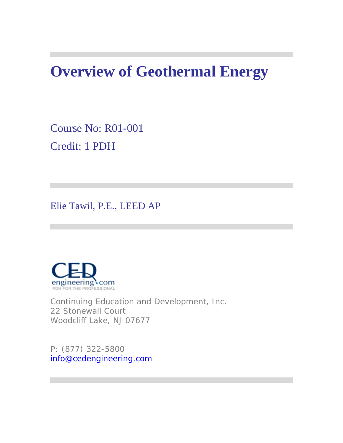# **Overview of Geothermal Energy**

Course No: R01-001 Credit: 1 PDH

Elie Tawil, P.E., LEED AP



Continuing Education and Development, Inc. 22 Stonewall Court Woodcliff Lake, NJ 07677

P: (877) 322-5800 info@cedengineering.com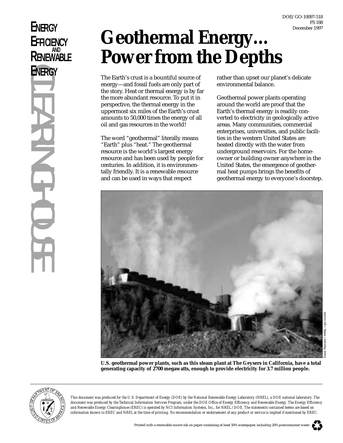ENERGY LEARIE NGHOUSE **ENERGY** EFFICIENCY **RENEWABLE ENERGY**

# **Geothermal Energy… Power from the Depths**

The Earth's crust is a bountiful source of energy—and fossil fuels are only part of the story. Heat or thermal energy is by far the more abundant resource. To put it in perspective, the thermal energy in the uppermost six miles of the Earth's crust amounts to 50,000 times the energy of all oil and gas resources in the world!

The word "geothermal" literally means "Earth" plus "heat." The geothermal resource is the world's largest energy resource and has been used by people for centuries. In addition, it is environmentally friendly. It is a renewable resource and can be used in ways that respect

rather than upset our planet's delicate environmental balance.

Geothermal power plants operating around the world are proof that the Earth's thermal energy is readily converted to electricity in geologically active areas. Many communities, commercial enterprises, universities, and public facilities in the western United States are heated directly with the water from underground reservoirs. For the homeowner or building owner anywhere in the United States, the emergence of geothermal heat pumps brings the benefits of geothermal energy to everyone's doorstep.





*This document was produced for the U.S. Department of Energy (DOE) by the National Renewable Energy Laboratory (NREL), a DOE national laboratory. The document was produced by the Technical Information Services Program, under the DOE Office of Energy Efficiency and Renewable Energy. The Energy Efficiency and Renewable Energy Clearinghouse (EREC) is operated by NCI Information Systems, Inc., for NREL / DOE. The statements contained herein are based on information known to EREC and NREL at the time of printing. No recommendation or endorsement of any product or service is implied if mentioned by EREC.*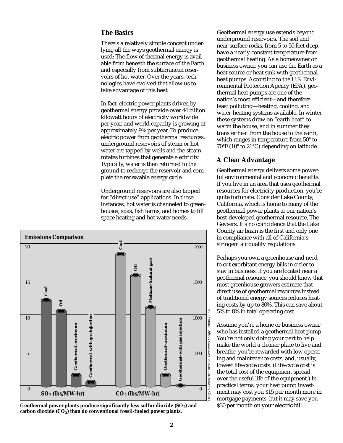# **The Basics**

There's a relatively simple concept underlying all the ways geothermal energy is used: The flow of thermal energy is available from beneath the surface of the Earth and especially from subterranean reservoirs of hot water. Over the years, technologies have evolved that allow us to take advantage of this heat.

In fact, electric power plants driven by geothermal energy provide over 44 billion kilowatt hours of electricity worldwide per year, and world capacity is growing at approximately 9% per year. To produce electric power from geothermal resources, underground reservoirs of steam or hot water are tapped by wells and the steam rotates turbines that generate electricity. Typically, water is then returned to the ground to recharge the reservoir and complete the renewable energy cycle.

Underground reservoirs are also tapped for "direct-use" applications. In these instances, hot water is channeled to greenhouses, spas, fish farms, and homes to fill space heating and hot water needs.





Geothermal energy use extends beyond underground reservoirs. The soil and near-surface rocks, from 5 to 50 feet deep, have a nearly constant temperature from geothermal heating. As a homeowner or business owner, you can use the Earth as a heat source or heat sink with geothermal heat pumps. According to the U.S. Environmental Protection Agency (EPA), geothermal heat pumps are one of the nation's most efficient—and therefore least polluting—heating, cooling, and water-heating systems available. In winter, these systems draw on "earth heat" to warm the house, and in summer they transfer heat from the house to the earth, which ranges in temperature from 50° to 70°F (10° to 21°C) depending on latitude.

# **A Clear Advantage**

Geothermal energy delivers some powerful environmental and economic benefits. If you live in an area that uses geothermal resources for electricity production, you're quite fortunate. Consider Lake County, California, which is home to many of the geothermal power plants at our nation's best-developed geothermal resource, The Geysers. It's no coincidence that the Lake County air basin is the first and only one in compliance with all of California's stringent air quality regulations.

Perhaps you own a greenhouse and need to cut exorbitant energy bills in order to stay in business. If you are located near a geothermal resource, you should know that most greenhouse growers estimate that direct use of geothermal resources instead of traditional energy sources reduces heating costs by up to 80%. This can save about 5% to 8% in total operating cost.

Assume you're a home or business owner who has installed a geothermal heat pump. You're not only doing your part to help make the world a cleaner place to live and breathe, you're rewarded with low operating and maintenance costs, and, usually, lowest life-cycle costs. (Life-cycle cost is the total cost of the equipment spread over the useful life of the equipment.) In practical terms, your heat pump investment may cost you \$15 per month more in mortgage payments, but it may save you \$30 per month on your electric bill.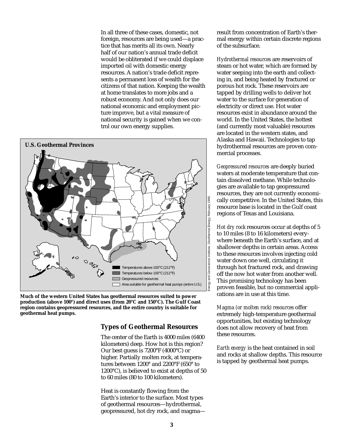In all three of these cases, domestic, not foreign, resources are being used—a practice that has merits all its own. Nearly half of our nation's annual trade deficit would be obliterated if we could displace imported oil with domestic energy resources. A nation's trade deficit represents a permanent loss of wealth for the citizens of that nation. Keeping the wealth at home translates to more jobs and a robust economy. And not only does our national economic and employment picture improve, but a vital measure of national security is gained when we control our own energy supplies.



**Much of the western United States has geothermal resources suited to power production (above 100°) and direct uses (from 20°C and 150°C). The Gulf Coast region contains geopressured resources, and the entire country is suitable for geothermal heat pumps.** 

### **Types of Geothermal Resources**

The center of the Earth is 4000 miles (6400 kilometers) deep. How hot is this region? Our best guess is 7200°F (4000°C) or higher. Partially molten rock, at temperatures between 1200° and 2200°F (650° to 1200°C), is believed to exist at depths of 50 to 60 miles (80 to 100 kilometers).

Heat is constantly flowing from the Earth's interior to the surface. Most types of geothermal resources—hydrothermal, geopressured, hot dry rock, and magma—

result from concentration of Earth's thermal energy within certain discrete regions of the subsurface.

*Hydrothermal resources* are reservoirs of steam or hot water, which are formed by water seeping into the earth and collecting in, and being heated by fractured or porous hot rock. These reservoirs are tapped by drilling wells to deliver hot water to the surface for generation of electricity or direct use. Hot water resources exist in abundance around the world. In the United States, the hottest (and currently most valuable) resources are located in the western states, and Alaska and Hawaii. Technologies to tap hydrothermal resources are proven commercial processes.

*Geopressured resources* are deeply buried waters at moderate temperature that contain dissolved methane. While technologies are available to tap geopressured resources, they are not currently economically competitive. In the United States, this resource base is located in the Gulf coast regions of Texas and Louisiana.

*Hot dry rock* resources occur at depths of 5 to 10 miles (8 to 16 kilometers) everywhere beneath the Earth's surface, and at shallower depths in certain areas. Access to these resources involves injecting cold water down one well, circulating it through hot fractured rock, and drawing off the now hot water from another well. This promising technology has been proven feasible, but no commercial applications are in use at this time.

*Magma (or molten rock) resources* offer extremely high-temperature geothermal opportunities, but existing technology does not allow recovery of heat from these resources.

*Earth energy* is the heat contained in soil and rocks at shallow depths. This resource is tapped by geothermal heat pumps.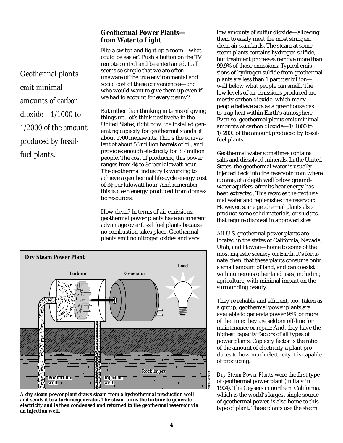# **Geothermal Power Plants from Water to Light**

*Geothermal plants*

*amounts of carbon*

*dioxide—1/1000 to*

*produced by fossil-*

*fuel plants.*

*1/2000 of the amount*

*emit minimal*

Flip a switch and light up a room—what could be easier? Push a button on the TV remote control and be entertained. It all seems so simple that we are often unaware of the true environmental and social cost of these conveniences—and who would want to give them up even if we had to account for every penny?

But rather than thinking in terms of giving things up, let's think positively: in the United States, right now, the installed generating capacity for geothermal stands at about 2700 megawatts. That's the equivalent of about 58 million barrels of oil, and provides enough electricity for 3.7 million people. The cost of producing this power ranges from 4¢ to 8¢ per kilowatt hour. The geothermal industry is working to achieve a geothermal life-cycle energy cost of 3¢ per kilowatt hour. And remember, this is clean energy produced from domestic resources.

How clean? In terms of air emissions, geothermal power plants have an inherent advantage over fossil fuel plants because no combustion takes place. Geothermal plants emit no nitrogen oxides and very



 **an injection well. A dry steam power plant draws steam from a hydrothermal production well and sends it to a turbine/generator. The steam turns the turbine to generate electricity and is then condensed and returned to the geothermal reservoir via** 

low amounts of sulfur dioxide—allowing them to easily meet the most stringent clean air standards. The steam at some steam plants contains hydrogen sulfide, but treatment processes remove more than 99.9% of those emissions. Typical emissions of hydrogen sulfide from geothermal plants are less than 1 part per billion well below what people can smell. The low levels of air emissions produced are mostly carbon dioxide, which many people believe acts as a greenhouse gas to trap heat within Earth's atmosphere. Even so, geothermal plants emit minimal amounts of carbon dioxide—1/1000 to 1/2000 of the amount produced by fossilfuel plants.

Geothermal water sometimes contains salts and dissolved minerals. In the United States, the geothermal water is usually injected back into the reservoir from where it came, at a depth well below groundwater aquifers, after its heat energy has been extracted. This recycles the geothermal water and replenishes the reservoir. However, some geothermal plants also produce some solid materials, or sludges, that require disposal in approved sites.

All U.S. geothermal power plants are located in the states of California, Nevada, Utah, and Hawaii—home to some of the most majestic scenery on Earth. It's fortunate, then, that these plants consume only a small amount of land, and can coexist with numerous other land uses, including agriculture, with minimal impact on the surrounding beauty.

They're reliable and efficient, too. Taken as a group, geothermal power plants are available to generate power 95% or more of the time; they are seldom off-line for maintenance or repair. And, they have the highest capacity factors of all types of power plants. Capacity factor is the ratio of the amount of electricity a plant produces to how much electricity it is capable of producing.

*Dry Steam Power Plants* were the first type of geothermal power plant (in Italy in 1904). The Geysers in northern California, which is the world's largest single source of geothermal power, is also home to this type of plant. These plants use the steam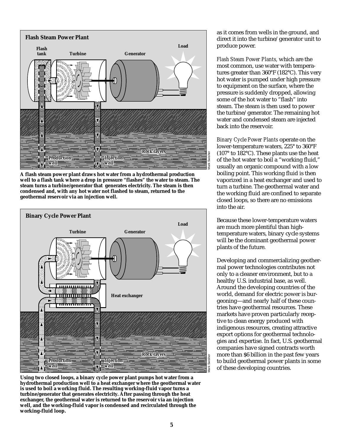

**A flash steam power plant draws hot water from a hydrothermal production well to a flash tank where a drop in pressure "flashes" the water to steam. The steam turns a turbine/generator that generates electricity. The steam is then condensed and, with any hot water not flashed to steam, returned to the geothermal reservoir via an injection well.**



 **exchanger, the geothermal water is returned to the reservoir via an injection Using two closed loops, a binary cycle power plant pumps hot water from a hydrothermal production well to a heat exchanger where the geothermal water is used to boil a working fluid. The resulting working-fluid vapor turns a turbine/generator that generates electricity. After passing through the heat well, and the working-fluid vapor is condensed and recirculated through the working-fluid loop.** 

as it comes from wells in the ground, and direct it into the turbine/generator unit to produce power.

*Flash Steam Power Plants,* which are the most common, use water with temperatures greater than 360°F (182°C). This very hot water is pumped under high pressure to equipment on the surface, where the pressure is suddenly dropped, allowing some of the hot water to "flash" into steam. The steam is then used to power the turbine/generator. The remaining hot water and condensed steam are injected back into the reservoir.

*Binary Cycle Power Plants* operate on the lower-temperature waters, 225° to 360°F (107° to 182°C). These plants use the heat of the hot water to boil a "working fluid," usually an organic compound with a low boiling point. This working fluid is then vaporized in a heat exchanger and used to turn a turbine. The geothermal water and the working fluid are confined to separate closed loops, so there are no emissions into the air.

Because these lower-temperature waters are much more plentiful than hightemperature waters, binary cycle systems will be the dominant geothermal power plants of the future.

Developing and commercializing geothermal power technologies contributes not only to a cleaner environment, but to a healthy U.S. industrial base, as well. Around the developing countries of the world, demand for electric power is burgeoning—and nearly half of these countries have geothermal resources. These markets have proven particularly receptive to clean energy produced with indigenous resources, creating attractive export options for geothermal technologies and expertise. In fact, U.S. geothermal companies have signed contracts worth more than \$6 billion in the past few years to build geothermal power plants in some of these developing countries.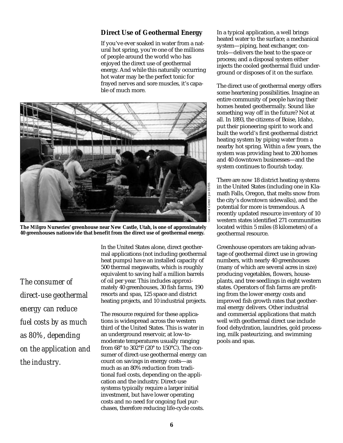# **Direct Use of Geothermal Energy**

If you've ever soaked in water from a natural hot spring, you're one of the millions of people around the world who has enjoyed the direct use of geothermal energy. And while this naturally occurring hot water may be the perfect tonic for frayed nerves and sore muscles, it's capable of much more.



**The Milgro Nurseries' greenhouse near New Castle, Utah, is one of approximately 40 greenhouses nationwide that benefit from the direct use of geothermal energy.**

*The consumer of direct-use geothermal energy can reduce fuel costs by as much as 80%, depending on the application and the industry.*

In the United States alone, direct geothermal applications (not including geothermal heat pumps) have an installed capacity of 500 thermal megawatts, which is roughly equivalent to saving half a million barrels of oil per year. This includes approximately 40 greenhouses, 30 fish farms, 190 resorts and spas, 125 space and district heating projects, and 10 industrial projects.

The resource required for these applications is widespread across the western third of the United States. This is water in an underground reservoir, at low-tomoderate temperatures usually ranging from 68° to 302°F (20° to 150°C). The consumer of direct-use geothermal energy can count on savings in energy costs—as much as an 80% reduction from traditional fuel costs, depending on the application and the industry. Direct-use systems typically require a larger initial investment, but have lower operating costs and no need for ongoing fuel purchases, therefore reducing life-cycle costs.

In a typical application, a well brings heated water to the surface; a mechanical system—piping, heat exchanger, controls—delivers the heat to the space or process; and a disposal system either injects the cooled geothermal fluid underground or disposes of it on the surface.

The direct use of geothermal energy offers some heartening possibilities. Imagine an entire community of people having their homes heated geothermally. Sound like something way off in the future? Not at all. In 1893, the citizens of Boise, Idaho, put their pioneering spirit to work and built the world's first geothermal district heating system by piping water from a nearby hot spring. Within a few years, the system was providing heat to 200 homes and 40 downtown businesses—and the system continues to flourish today.

There are now 18 district heating systems in the United States (including one in Klamath Falls, Oregon, that melts snow from the city's downtown sidewalks), and the potential for more is tremendous. A recently updated resource inventory of 10 western states identified 271 communities located within 5 miles (8 kilometers) of a geothermal resource.

Greenhouse operators are taking advantage of geothermal direct use in growing numbers, with nearly 40 greenhouses (many of which are several acres in size) producing vegetables, flowers, houseplants, and tree seedlings in eight western states. Operators of fish farms are profiting from the lower energy costs and improved fish growth rates that geothermal energy delivers. Other industrial and commercial applications that match well with geothermal direct use include food dehydration, laundries, gold processing, milk pasteurizing, and swimming pools and spas.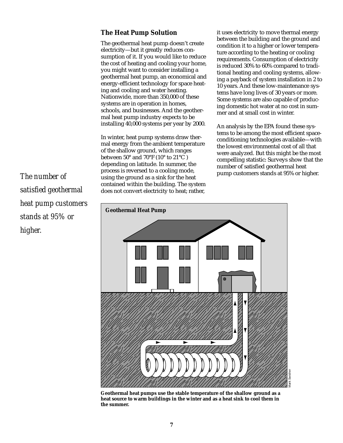# **The Heat Pump Solution**

The geothermal heat pump doesn't create electricity—but it greatly reduces consumption of it. If you would like to reduce the cost of heating and cooling your home, you might want to consider installing a geothermal heat pump, an economical and energy-efficient technology for space heating and cooling and water heating. Nationwide, more than 350,000 of these systems are in operation in homes, schools, and businesses. And the geothermal heat pump industry expects to be installing 40,000 systems per year by 2000.

In winter, heat pump systems draw thermal energy from the ambient temperature of the shallow ground, which ranges between  $50^{\circ}$  and  $70^{\circ}$ F ( $10^{\circ}$  to  $21^{\circ}$ C) depending on latitude. In summer, the process is reversed to a cooling mode, using the ground as a sink for the heat contained within the building. The system does not convert electricity to heat; rather,

it uses electricity to move thermal energy between the building and the ground and condition it to a higher or lower temperature according to the heating or cooling requirements. Consumption of electricity is reduced 30% to 60% compared to traditional heating and cooling systems, allowing a payback of system installation in 2 to 10 years. And these low-maintenance systems have long lives of 30 years or more. Some systems are also capable of producing domestic hot water at no cost in summer and at small cost in winter.

An analysis by the EPA found these systems to be among the most efficient spaceconditioning technologies available—with the lowest environmental cost of all that were analyzed. But this might be the most compelling statistic: Surveys show that the number of satisfied geothermal heat pump customers stands at 95% or higher.

*The number of satisfied geothermal heat pump customers stands at 95% or higher.*



**Geothermal heat pumps use the stable temperature of the shallow ground as a heat source to warm buildings in the winter and as a heat sink to cool them in the summer.**